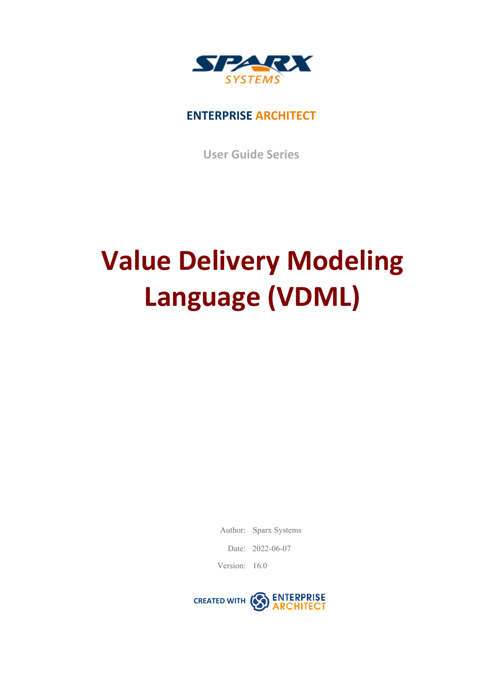

### **ENTERPRISE ARCHITECT**

**User Guide Series**

# **Value Delivery Modeling Language (VDML)**

Author: Sparx Systems

Date: 2022-06-07

Version: 16.0

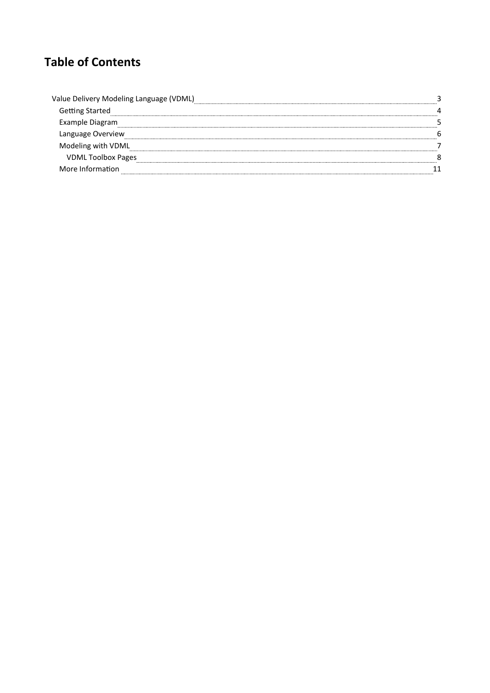### **Table of Contents**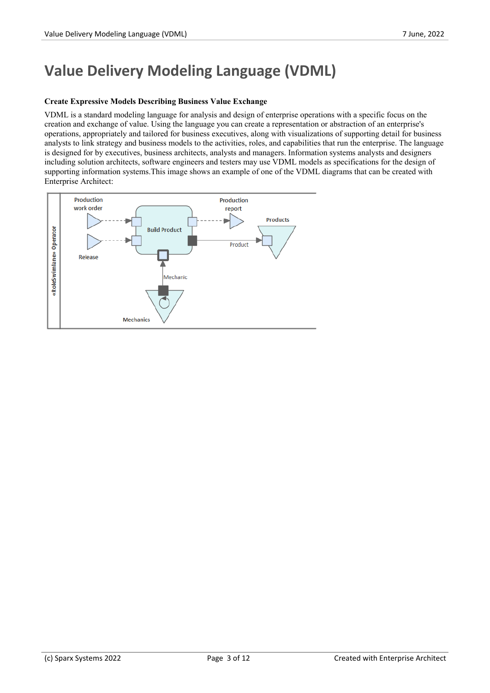# **Value Delivery Modeling Language (VDML)**

#### **Create Expressive Models Describing Business Value Exchange**

VDML is a standard modeling language for analysis and design of enterprise operations with a specific focus on the creation and exchange of value. Using the language you can create a representation or abstraction of an enterprise's operations, appropriately and tailored for business executives, along with visualizations ofsupporting detail for business analysts to link strategy and business models to the activities, roles, and capabilities that run the enterprise. The language is designed for by executives, business architects, analysts and managers. Information systems analysts and designers including solution architects, software engineers and testers may use VDML models asspecifications for the design of supporting information systems.This image shows an example of one of the VDML diagrams that can be created with Enterprise Architect:

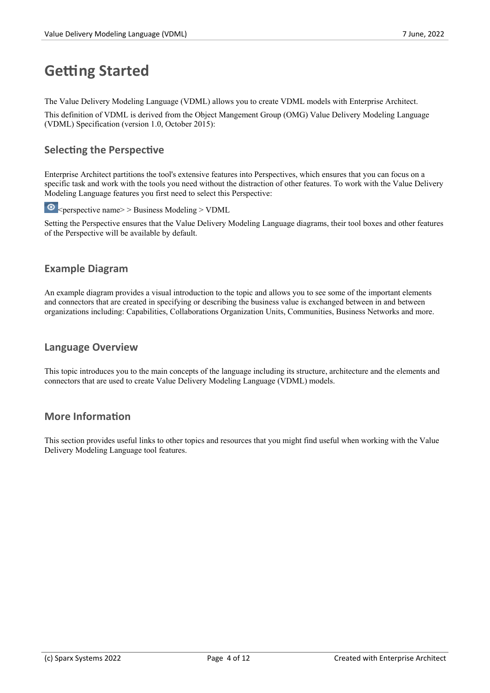# **Getting Started**

The Value Delivery Modeling Language (VDML) allows you to create VDML models with Enterprise Architect.

This definition of VDML is derived from the Object MangementGroup (OMG) Value Delivery Modeling Language (VDML) Specification (version 1.0, October 2015):

#### **Selecting the Perspective**

Enterprise Architect partitions the tool's extensive features into Perspectives, which ensures that you can focus on a specific task and work with the tools you need without the distraction of other features. To work with the Value Delivery Modeling Language features you first need to select this Perspective:

 $\odot$  <perspective name> > Business Modeling > VDML

Setting the Perspective ensures that the Value Delivery Modeling Language diagrams, their tool boxes and other features of the Perspective will be available by default.

### **Example Diagram**

An example diagram provides a visual introduction to the topic and allows you to see some of the important elements and connectors that are created in specifying or describing the business value is exchanged between in and between organizations including: Capabilities, Collaborations Organization Units, Communities, Business Networks and more.

#### **Language Overview**

This topic introduces you to the main concepts of the language including its structure, architecture and the elements and connectors that are used to create Value Delivery Modeling Language (VDML) models.

#### **More Information**

This section provides useful links to other topics and resources that you might find useful when working with the Value Delivery Modeling Language tool features.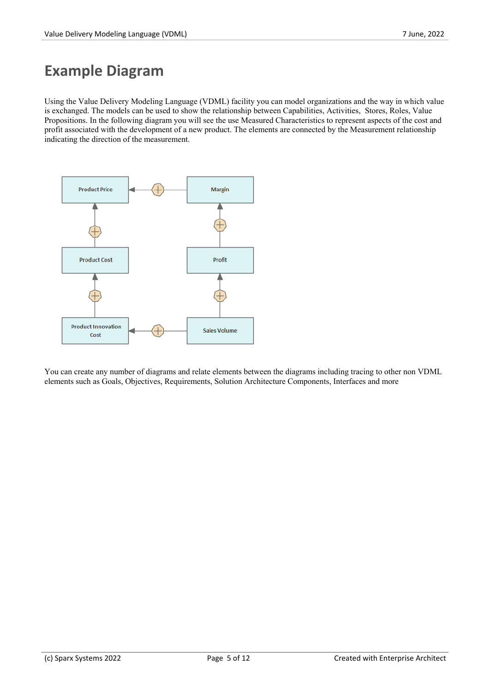# **Example Diagram**

Using the Value Delivery Modeling Language (VDML) facility you can model organizations and the way in which value is exchanged. The models can be used to show the relationship between Capabilities, Activities, Stores, Roles, Value Propositions. In the following diagram you will see the use Measured Characteristics to represent aspects of the cost and profit associated with the development of a new product. The elements are connected by the Measurement relationship indicating the direction of the measurement.



You can create any number of diagrams and relate elements between the diagrams including tracing to other non VDML elements such as Goals, Objectives, Requirements, Solution Architecture Components, Interfaces and more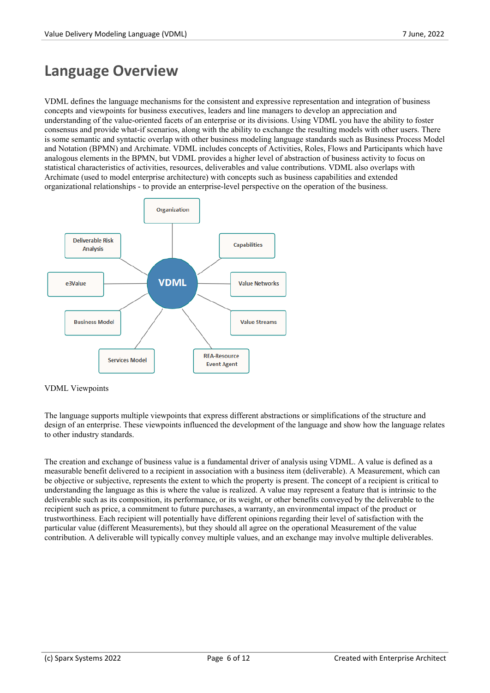### **Language Overview**

VDML defines the language mechanisms for the consistent and expressive representation and integration of business concepts and viewpoints for business executives, leaders and line managers to develop an appreciation and understanding of the value-oriented facets of an enterprise or its divisions. Using VDML you have the ability to foster consensus and provide what-if scenarios, along with the ability to exchange the resulting models with other users. There is some semantic and syntactic overlap with other business modeling language standards such as Business Process Model and Notation (BPMN) and Archimate. VDML includes concepts of Activities, Roles, Flows and Participants which have analogous elements in the BPMN, but VDML provides a higher level of abstraction of business activity to focus on statistical characteristics of activities, resources, deliverables and value contributions. VDML also overlaps with Archimate (used to model enterprise architecture) with concepts such as business capabilities and extended organizational relationships - to provide an enterprise-level perspective on the operation of the business.



#### VDML Viewpoints

The language supports multiple viewpoints that express different abstractions or simplifications ofthe structure and design of an enterprise. These viewpoints influenced the development of the language and show how the language relates to other industry standards.

The creation and exchange of business value is a fundamental driver of analysis using VDML. A value is defined as a measurable benefit delivered to a recipient in association with a business item (deliverable). A Measurement, which can be objective or subjective, represents the extent to which the property is present. The concept of a recipient is critical to understanding the language asthis is where the value is realized. A value may represent a feature that is intrinsic to the deliverable such as its composition, its performance, or its weight, or other benefits conveyed by the deliverable to the recipient such as price, a commitment to future purchases, a warranty, an environmental impact of the product or trustworthiness. Each recipient will potentially have different opinions regarding their levelof satisfaction with the particular value (different Measurements), but they should all agree on the operational Measurement of the value contribution. A deliverable will typically convey multiple values, and an exchange may involve multiple deliverables.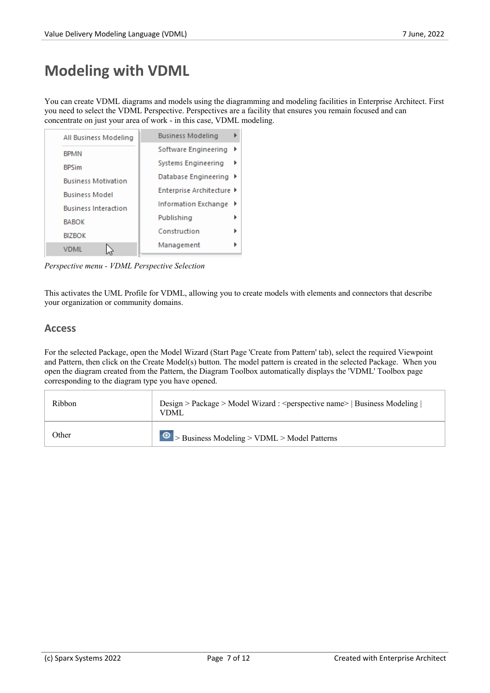# **Modeling with VDML**

You can create VDML diagrams and models using the diagramming and modeling facilities in Enterprise Architect. First you need to select the VDML Perspective. Perspectives are a facility that ensures you remain focused and can concentrate on just your area of work - in this case, VDML modeling.

| All Business Modeling       | <b>Business Modeling</b>  |
|-----------------------------|---------------------------|
| <b>BPMN</b>                 | Software Engineering      |
| <b>BPSim</b>                | Systems Engineering       |
| <b>Business Motivation</b>  | Database Engineering ▶    |
| <b>Business Model</b>       | Enterprise Architecture ▶ |
| <b>Business Interaction</b> | Information Exchange<br>▸ |
| <b>BABOK</b>                | Publishing                |
| <b>BIZBOK</b>               | Construction              |
| VDML                        | Management                |

*Perspective menu - VDML Perspective Selection*

This activates the UML Profile for VDML, allowing you to create models with elements and connectors that describe your organization or community domains.

#### **Access**

For the selected Package, open the Model Wizard (Start Page 'Create from Pattern' tab), select the required Viewpoint and Pattern, then click on the Create Model(s) button. The model pattern is created in the selected Package. When you open the diagram created from the Pattern, the Diagram Toolbox automatically displays the 'VDML' Toolbox page corresponding to the diagram type you have opened.

| Ribbon | Design > Package > Model Wizard : <perspective name="">   Business Modeling  <br/>VDML</perspective> |  |
|--------|------------------------------------------------------------------------------------------------------|--|
| Other  | $\bullet$ > Business Modeling > VDML > Model Patterns                                                |  |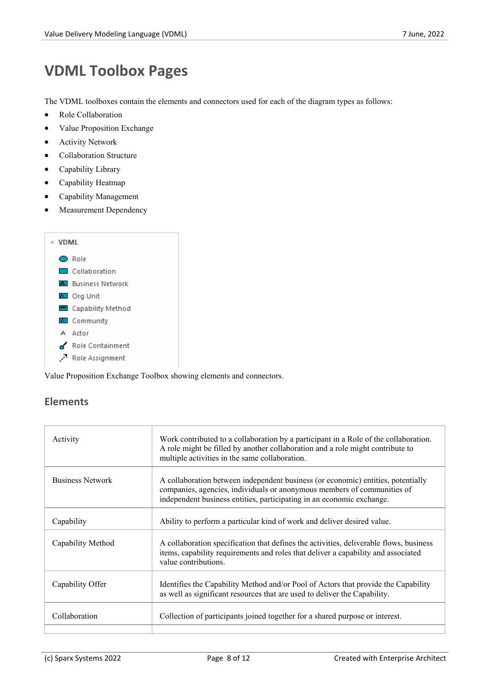# **VDML Toolbox Pages**

The VDML toolboxes contain the elements and connectors used for each of the diagram types as follows:

- · Role Collaboration
- · Value Proposition Exchange
- **•** Activity Network
- · Collaboration Structure
- · Capability Library
- Capability Heatmap
- · Capability Management
- Measurement Dependency

| ⊿ VDMI |                             |
|--------|-----------------------------|
|        | <b>◯</b> Role               |
|        | Collaboration               |
|        | <b>A</b> Business Network   |
|        | Ed Org Unit                 |
|        | <b>ED</b> Capability Method |
|        | 图 Community                 |
|        | A Actor                     |
|        | Role Containment            |
|        | Role Assignment             |

Value Proposition Exchange Toolbox showing elements and connectors.

#### **Elements**

| Activity                | Work contributed to a collaboration by a participant in a Role of the collaboration.<br>A role might be filled by another collaboration and a role might contribute to<br>multiple activities in the same collaboration.             |
|-------------------------|--------------------------------------------------------------------------------------------------------------------------------------------------------------------------------------------------------------------------------------|
| <b>Business Network</b> | A collaboration between independent business (or economic) entities, potentially<br>companies, agencies, individuals or anonymous members of communities of<br>independent business entities, participating in an economic exchange. |
| Capability              | Ability to perform a particular kind of work and deliver desired value.                                                                                                                                                              |
| Capability Method       | A collaboration specification that defines the activities, deliverable flows, business<br>items, capability requirements and roles that deliver a capability and associated<br>value contributions.                                  |
| Capability Offer        | Identifies the Capability Method and/or Pool of Actors that provide the Capability<br>as well as significant resources that are used to deliver the Capability.                                                                      |
| Collaboration           | Collection of participants joined together for a shared purpose or interest.                                                                                                                                                         |
|                         |                                                                                                                                                                                                                                      |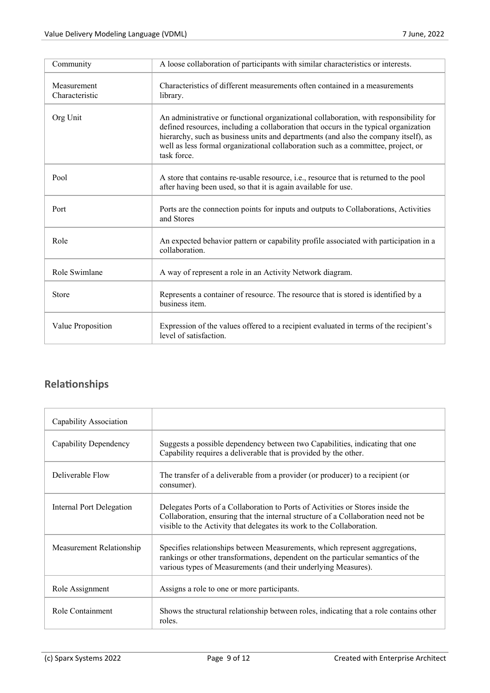| Community                     | A loose collaboration of participants with similar characteristics or interests.                                                                                                                                                                                                                                                                                         |
|-------------------------------|--------------------------------------------------------------------------------------------------------------------------------------------------------------------------------------------------------------------------------------------------------------------------------------------------------------------------------------------------------------------------|
| Measurement<br>Characteristic | Characteristics of different measurements often contained in a measurements<br>library.                                                                                                                                                                                                                                                                                  |
| Org Unit                      | An administrative or functional organizational collaboration, with responsibility for<br>defined resources, including a collaboration that occurs in the typical organization<br>hierarchy, such as business units and departments (and also the company itself), as<br>well as less formal organizational collaboration such as a committee, project, or<br>task force. |
| Pool                          | A store that contains re-usable resource, i.e., resource that is returned to the pool<br>after having been used, so that it is again available for use.                                                                                                                                                                                                                  |
| Port                          | Ports are the connection points for inputs and outputs to Collaborations, Activities<br>and Stores                                                                                                                                                                                                                                                                       |
| Role                          | An expected behavior pattern or capability profile associated with participation in a<br>collaboration.                                                                                                                                                                                                                                                                  |
| Role Swimlane                 | A way of represent a role in an Activity Network diagram.                                                                                                                                                                                                                                                                                                                |
| <b>Store</b>                  | Represents a container of resource. The resource that is stored is identified by a<br>business item.                                                                                                                                                                                                                                                                     |
| Value Proposition             | Expression of the values offered to a recipient evaluated in terms of the recipient's<br>level of satisfaction.                                                                                                                                                                                                                                                          |

### **Relationships**

| Capability Association          |                                                                                                                                                                                                                                               |
|---------------------------------|-----------------------------------------------------------------------------------------------------------------------------------------------------------------------------------------------------------------------------------------------|
| Capability Dependency           | Suggests a possible dependency between two Capabilities, indicating that one<br>Capability requires a deliverable that is provided by the other.                                                                                              |
| Deliverable Flow                | The transfer of a deliverable from a provider (or producer) to a recipient (or<br>consumer).                                                                                                                                                  |
| <b>Internal Port Delegation</b> | Delegates Ports of a Collaboration to Ports of Activities or Stores inside the<br>Collaboration, ensuring that the internal structure of a Collaboration need not be<br>visible to the Activity that delegates its work to the Collaboration. |
| Measurement Relationship        | Specifies relationships between Measurements, which represent aggregations,<br>rankings or other transformations, dependent on the particular semantics of the<br>various types of Measurements (and their underlying Measures).              |
| Role Assignment                 | Assigns a role to one or more participants.                                                                                                                                                                                                   |
| Role Containment                | Shows the structural relationship between roles, indicating that a role contains other<br>roles.                                                                                                                                              |